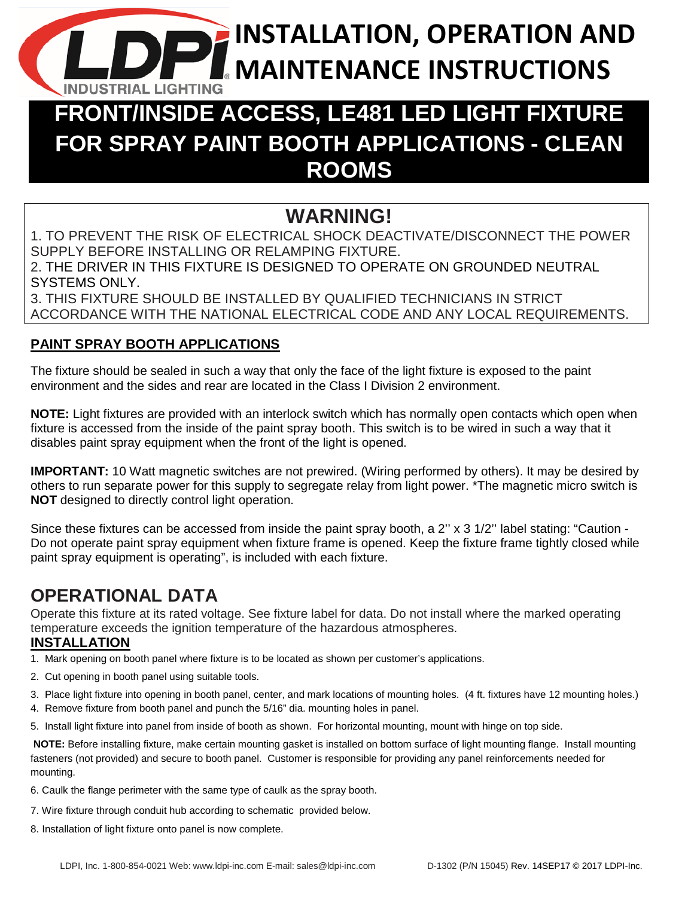## **INSTALLATION, OPERATION AND MAINTENANCE INSTRUCTIONSINDUSTRIAL LIGHTING**

# **FRONT/INSIDE ACCESS, LE481 LED LIGHT FIXTURE FOR SPRAY PAINT BOOTH APPLICATIONS - CLEAN ROOMS**

# **WARNING!**

1. TO PREVENT THE RISK OF ELECTRICAL SHOCK DEACTIVATE/DISCONNECT THE POWER SUPPLY BEFORE INSTALLING OR RELAMPING FIXTURE.

2. THE DRIVER IN THIS FIXTURE IS DESIGNED TO OPERATE ON GROUNDED NEUTRAL SYSTEMS ONLY.

3. THIS FIXTURE SHOULD BE INSTALLED BY QUALIFIED TECHNICIANS IN STRICT ACCORDANCE WITH THE NATIONAL ELECTRICAL CODE AND ANY LOCAL REQUIREMENTS.

### **PAINT SPRAY BOOTH APPLICATIONS**

The fixture should be sealed in such a way that only the face of the light fixture is exposed to the paint environment and the sides and rear are located in the Class I Division 2 environment.

**NOTE:** Light fixtures are provided with an interlock switch which has normally open contacts which open when fixture is accessed from the inside of the paint spray booth. This switch is to be wired in such a way that it disables paint spray equipment when the front of the light is opened.

**IMPORTANT:** 10 Watt magnetic switches are not prewired. (Wiring performed by others). It may be desired by others to run separate power for this supply to segregate relay from light power. \*The magnetic micro switch is **NOT** designed to directly control light operation.

Since these fixtures can be accessed from inside the paint spray booth, a 2'' x 3 1/2'' label stating: "Caution - Do not operate paint spray equipment when fixture frame is opened. Keep the fixture frame tightly closed while paint spray equipment is operating", is included with each fixture.

## **OPERATIONAL DATA**

Operate this fixture at its rated voltage. See fixture label for data. Do not install where the marked operating temperature exceeds the ignition temperature of the hazardous atmospheres.

### **INSTALLATION**

- 1. Mark opening on booth panel where fixture is to be located as shown per customer's applications.
- 2. Cut opening in booth panel using suitable tools.
- 3. Place light fixture into opening in booth panel, center, and mark locations of mounting holes. (4 ft. fixtures have 12 mounting holes.) 4. Remove fixture from booth panel and punch the 5/16" dia. mounting holes in panel.
- 5. Install light fixture into panel from inside of booth as shown. For horizontal mounting, mount with hinge on top side.

**NOTE:** Before installing fixture, make certain mounting gasket is installed on bottom surface of light mounting flange. Install mounting fasteners (not provided) and secure to booth panel. Customer is responsible for providing any panel reinforcements needed for mounting.

- 6. Caulk the flange perimeter with the same type of caulk as the spray booth.
- 7. Wire fixture through conduit hub according to schematic provided below.
- 8. Installation of light fixture onto panel is now complete.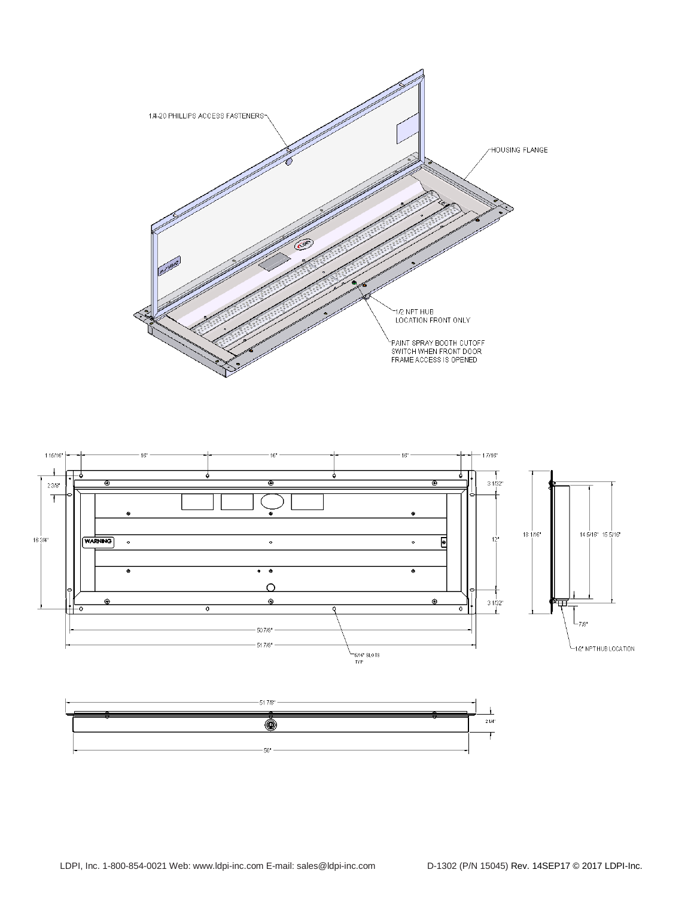



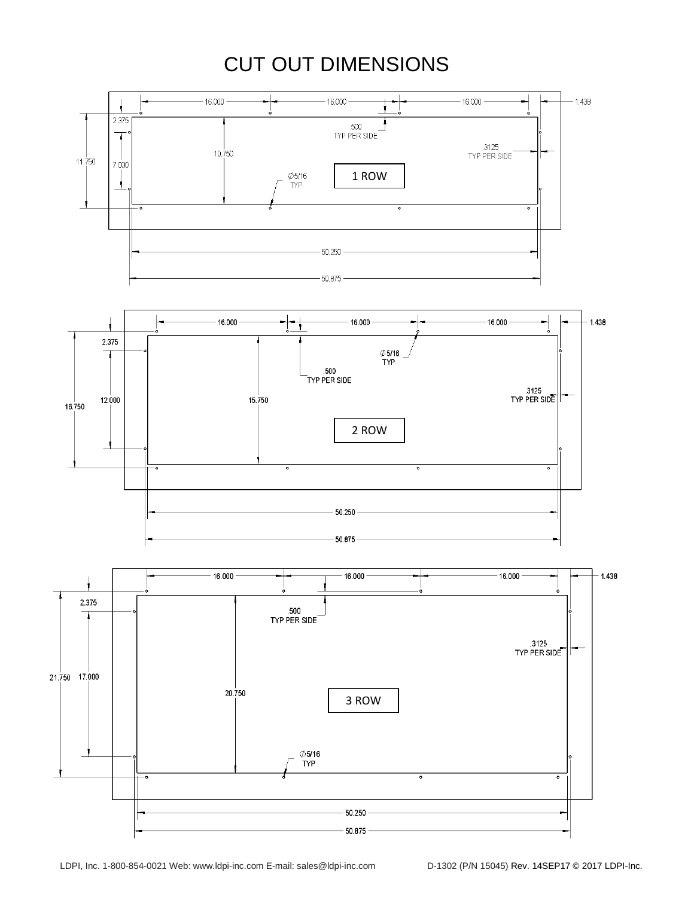# CUT OUT DIMENSIONS

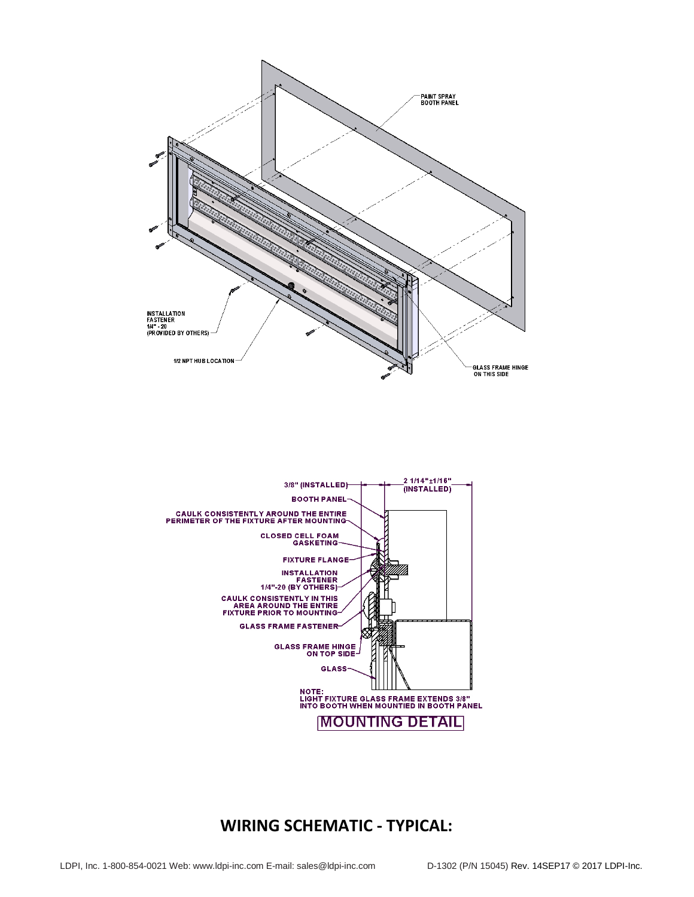



### **WIRING SCHEMATIC - TYPICAL:**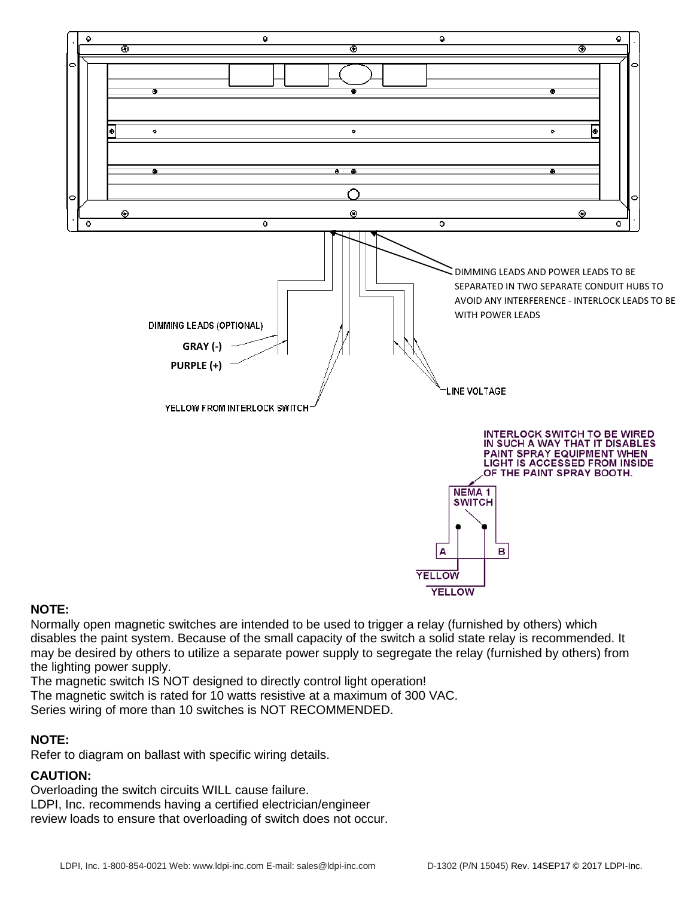

#### **NOTE:**

Normally open magnetic switches are intended to be used to trigger a relay (furnished by others) which disables the paint system. Because of the small capacity of the switch a solid state relay is recommended. It may be desired by others to utilize a separate power supply to segregate the relay (furnished by others) from the lighting power supply.

The magnetic switch IS NOT designed to directly control light operation!

The magnetic switch is rated for 10 watts resistive at a maximum of 300 VAC.

Series wiring of more than 10 switches is NOT RECOMMENDED.

#### **NOTE:**

Refer to diagram on ballast with specific wiring details.

#### **CAUTION:**

Overloading the switch circuits WILL cause failure. LDPI, Inc. recommends having a certified electrician/engineer review loads to ensure that overloading of switch does not occur.